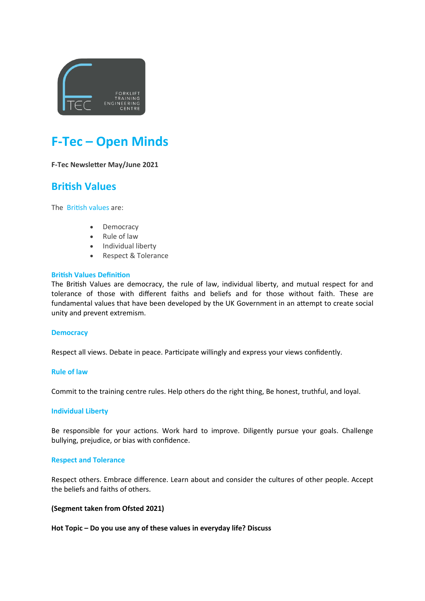

# **F-Tec – Open Minds**

#### **F-Tec Newsletter May/June 2021**

### **British Values**

The [British](https://www.gov.uk/government/news/guidance-on-promoting-british-values-in-schools-published) values are:

- Democracy
- Rule of law
- Individual liberty
- Respect & Tolerance

#### **British Values Definition**

The British Values are democracy, the rule of law, individual liberty, and mutual respect for and tolerance of those with different faiths and beliefs and for those without faith. These are fundamental values that have been developed by the UK [Government](https://www.gov.uk/government/news/guidance-on-promoting-british-values-in-schools-published) in an attempt to create social unity and prevent extremism.

#### **Democracy**

Respect all views. Debate in peace. Participate willingly and express your views confidently.

#### **Rule of law**

Commit to the training centre rules. Help others do the right thing, Be honest, truthful, and loyal.

#### **Individual Liberty**

Be responsible for your actions. Work hard to improve. Diligently pursue your goals. Challenge bullying, prejudice, or bias with confidence.

#### **Respect and Tolerance**

Respect others. Embrace difference. Learn about and consider the cultures of other people. Accept the beliefs and faiths of others.

#### **(Segment taken from Ofsted 2021)**

**Hot Topic – Do you use any of these values in everyday life? Discuss**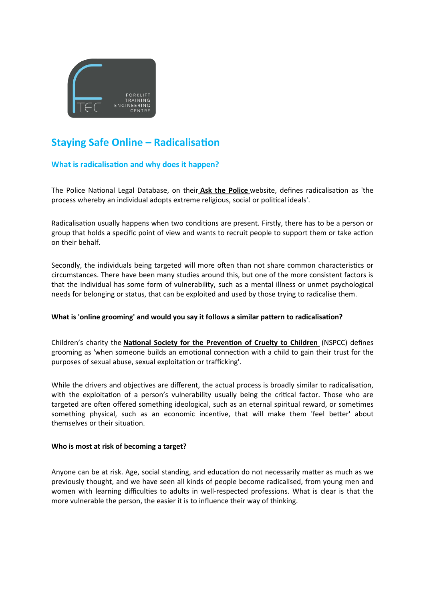

## **Staying Safe Online – Radicalisation**

#### **What is radicalisation and why does it happen?**

The Police National Legal Database, on their **[Ask the Police](https://www.askthe.police.uk/content/@1.htm)** website, defines radicalisation as 'the process whereby an individual adopts extreme religious, social or political ideals'.

Radicalisation usually happens when two conditions are present. Firstly, there has to be a person or group that holds a specific point of view and wants to recruit people to support them or take action on their behalf.

Secondly, the individuals being targeted will more often than not share common characteristics or circumstances. There have been many studies around this, but one of the more consistent factors is that the individual has some form of vulnerability, such as a mental illness or unmet psychological needs for belonging or status, that can be exploited and used by those trying to radicalise them.

#### **What is 'online grooming' and would you say it follows a similar pattern to radicalisation?**

Children's charity the **[National Society for the Prevention of Cruelty to Children](https://www.nspcc.org.uk/)** (NSPCC) defines grooming as 'when someone builds an emotional connection with a child to gain their trust for the purposes of sexual abuse, sexual exploitation or trafficking'.

While the drivers and objectives are different, the actual process is broadly similar to radicalisation, with the exploitation of a person's vulnerability usually being the critical factor. Those who are targeted are often offered something ideological, such as an eternal spiritual reward, or sometimes something physical, such as an economic incentive, that will make them 'feel better' about themselves or their situation.

#### **Who is most at risk of becoming a target?**

Anyone can be at risk. Age, social standing, and education do not necessarily matter as much as we previously thought, and we have seen all kinds of people become radicalised, from young men and women with learning difficulties to adults in well-respected professions. What is clear is that the more vulnerable the person, the easier it is to influence their way of thinking.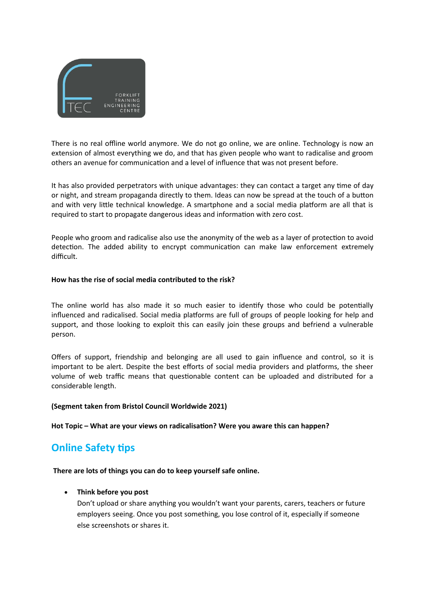

There is no real offline world anymore. We do not go online, we are online. Technology is now an extension of almost everything we do, and that has given people who want to radicalise and groom others an avenue for communication and a level of influence that was not present before.

It has also provided perpetrators with unique advantages: they can contact a target any time of day or night, and stream propaganda directly to them. Ideas can now be spread at the touch of a button and with very little technical knowledge. A smartphone and a social media platform are all that is required to start to propagate dangerous ideas and information with zero cost.

People who groom and radicalise also use the anonymity of the web as a layer of protection to avoid detection. The added ability to encrypt communication can make law enforcement extremely difficult.

#### **How has the rise of social media contributed to the risk?**

The online world has also made it so much easier to identify those who could be potentially influenced and radicalised. Social media platforms are full of groups of people looking for help and support, and those looking to exploit this can easily join these groups and befriend a vulnerable person.

Offers of support, friendship and belonging are all used to gain influence and control, so it is important to be alert. Despite the best efforts of social media providers and platforms, the sheer volume of web traffic means that questionable content can be uploaded and distributed for a considerable length.

#### **(Segment taken from Bristol Council Worldwide 2021)**

**Hot Topic – What are your views on radicalisation? Were you aware this can happen?** 

### **Online Safety tips**

#### **There are lots of things you can do to keep yourself safe online.**

#### **Think before you post**

Don't upload or share anything you wouldn't want your parents, carers, teachers or future employers seeing. Once you post something, you lose control of it, especially if someone else screenshots or shares it.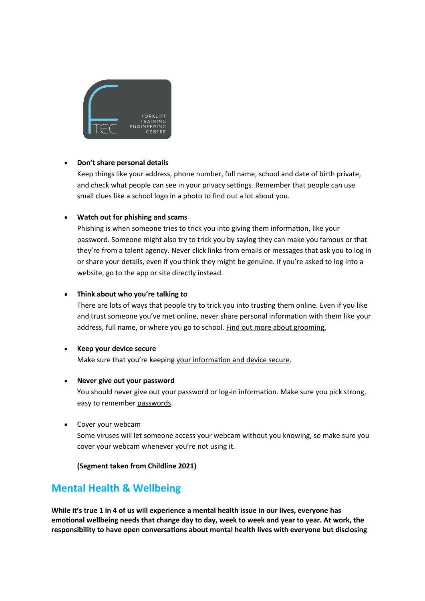

#### **Don't share personal details**

Keep things like your address, phone number, full name, school and date of birth private, and check what people can see in your privacy settings. Remember that people can use small clues like a school logo in a photo to find out a lot about you.

#### **Watch out for phishing and scams**

Phishing is when someone tries to trick you into giving them information, like your password. Someone might also try to trick you by saying they can make you famous or that they're from a talent agency. Never click links from emails or messages that ask you to log in or share your details, even if you think they might be genuine. If you're asked to log into a website, go to the app or site directly instead.

#### **Think about who you're talking to**

There are lots of ways that people try to trick you into trusting them online. Even if you like and trust someone you've met online, never share personal information with them like your address, full name, or where you go to school. Find out more about [grooming.](https://www.childline.org.uk/info-advice/bullying-abuse-safety/online-mobile-safety/online-grooming/)

**Keep your device secure** Make sure that you're keeping your [information](https://www.childline.org.uk/info-advice/bullying-abuse-safety/online-mobile-safety/staying-safe-online/#3) and device secure.

#### **Never give out your password**

You should never give out your password or log-in information. Make sure you pick strong, easy to remember [passwords.](https://www.childline.org.uk/info-advice/bullying-abuse-safety/online-mobile-safety/staying-safe-online/#3)

Cover your webcam

Some viruses will let someone access your webcam without you knowing, so make sure you cover your webcam whenever you're not using it.

#### **(Segment taken from Childline 2021)**

## **Mental Health & Wellbeing**

**While it's true 1 in 4 of us will experience a mental health issue in our lives, everyone has emotional wellbeing needs that change day to day, week to week and year to year. At work, the responsibility to have open conversations about mental health lives with everyone but disclosing**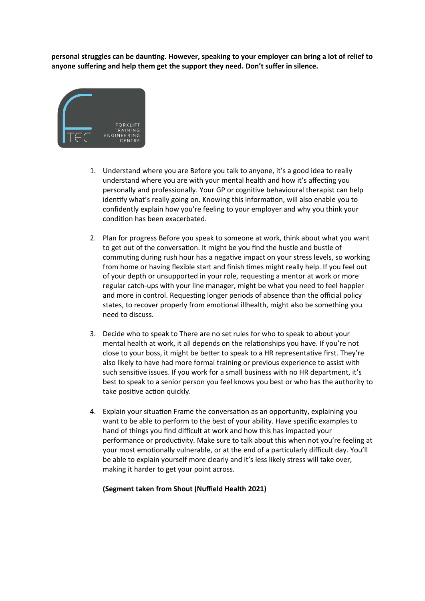**personal struggles can be daunting. However, speaking to your employer can bring a lot of relief to anyone suffering and help them get the support they need. Don't suffer in silence.**



- 1. Understand where you are Before you talk to anyone, it's a good idea to really understand where you are with your mental health and how it's affecting you personally and professionally. Your GP or cognitive behavioural therapist can help identify what's really going on. Knowing this information, will also enable you to confidently explain how you're feeling to your employer and why you think your condition has been exacerbated.
- 2. Plan for progress Before you speak to someone at work, think about what you want to get out of the conversation. It might be you find the hustle and bustle of commuting during rush hour has a negative impact on your stress levels, so working from home or having flexible start and finish times might really help. If you feel out of your depth or unsupported in your role, requesting a mentor at work or more regular catch-ups with your line manager, might be what you need to feel happier and more in control. Requesting longer periods of absence than the official policy states, to recover properly from emotional illhealth, might also be something you need to discuss.
- 3. Decide who to speak to There are no set rules for who to speak to about your mental health at work, it all depends on the relationships you have. If you're not close to your boss, it might be better to speak to a HR representative first. They're also likely to have had more formal training or previous experience to assist with such sensitive issues. If you work for a small business with no HR department, it's best to speak to a senior person you feel knows you best or who has the authority to take positive action quickly.
- 4. Explain your situation Frame the conversation as an opportunity, explaining you want to be able to perform to the best of your ability. Have specific examples to hand of things you find difficult at work and how this has impacted your performance or productivity. Make sure to talk about this when not you're feeling at your most emotionally vulnerable, or at the end of a particularly difficult day. You'll be able to explain yourself more clearly and it's less likely stress will take over, making it harder to get your point across.

#### **(Segment taken from Shout (Nuffield Health 2021)**